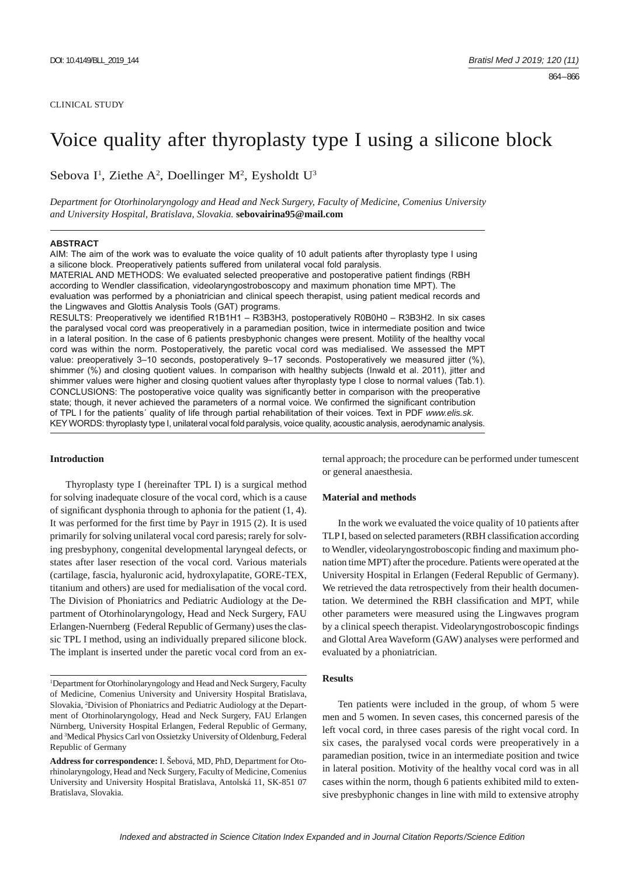# Voice quality after thyroplasty type I using a silicone block

Sebova I<sup>1</sup>, Ziethe A<sup>2</sup>, Doellinger M<sup>2</sup>, Eysholdt U<sup>3</sup>

*Department for Otorhinolaryngology and Head and Neck Surgery, Faculty of Medicine, Comenius University and University Hospital, Bratislava, Slovakia.* **sebovairina95@mail.com**

#### **ABSTRACT**

AIM: The aim of the work was to evaluate the voice quality of 10 adult patients after thyroplasty type I using a silicone block. Preoperatively patients suffered from unilateral vocal fold paralysis. MATERIAL AND METHODS: We evaluated selected preoperative and postoperative patient findings (RBH according to Wendler classification, videolaryngostroboscopy and maximum phonation time MPT). The evaluation was performed by a phoniatrician and clinical speech therapist, using patient medical records and the Lingwaves and Glottis Analysis Tools (GAT) programs. RESULTS: Preoperatively we identified R1B1H1 – R3B3H3, postoperatively R0B0H0 – R3B3H2. In six cases the paralysed vocal cord was preoperatively in a paramedian position, twice in intermediate position and twice in a lateral position. In the case of 6 patients presbyphonic changes were present. Motility of the healthy vocal cord was within the norm. Postoperatively, the paretic vocal cord was medialised. We assessed the MPT value: preoperatively 3-10 seconds, postoperatively 9-17 seconds. Postoperatively we measured jitter (%), shimmer (%) and closing quotient values. In comparison with healthy subjects (Inwald et al. 2011), jitter and shimmer values were higher and closing quotient values after thyroplasty type I close to normal values (Tab.1). CONCLUSIONS: The postoperative voice quality was significantly better in comparison with the preoperative state; though, it never achieved the parameters of a normal voice. We confirmed the significant contribution of TPL I for the patients´ quality of life through partial rehabilitation of their voices. Text in PDF *www.elis.sk.* KEY WORDS: thyroplasty type I, unilateral vocal fold paralysis, voice quality, acoustic analysis, aerodynamic analysis.

#### **Introduction**

Thyroplasty type I (hereinafter TPL I) is a surgical method for solving inadequate closure of the vocal cord, which is a cause of significant dysphonia through to aphonia for the patient  $(1, 4)$ . It was performed for the first time by Payr in 1915 (2). It is used primarily for solving unilateral vocal cord paresis; rarely for solving presbyphony, congenital developmental laryngeal defects, or states after laser resection of the vocal cord. Various materials (cartilage, fascia, hyaluronic acid, hydroxylapatite, GORE-TEX, titanium and others) are used for medialisation of the vocal cord. The Division of Phoniatrics and Pediatric Audiology at the Department of Otorhinolaryngology, Head and Neck Surgery, FAU Erlangen-Nuernberg (Federal Republic of Germany) uses the classic TPL I method, using an individually prepared silicone block. The implant is inserted under the paretic vocal cord from an ex-

<sup>1</sup>Department for Otorhinolaryngology and Head and Neck Surgery, Faculty of Medicine, Comenius University and University Hospital Bratislava, Slovakia, 2 Division of Phoniatrics and Pediatric Audiology at the Department of Otorhinolaryngology, Head and Neck Surgery, FAU Erlangen Nürnberg, University Hospital Erlangen, Federal Republic of Germany, and 3 Medical Physics Carl von Ossietzky University of Oldenburg, Federal Republic of Germany

**Address for correspondence:** I. Šebová, MD, PhD, Department for Otorhinolaryngology, Head and Neck Surgery, Faculty of Medicine, Comenius University and University Hospital Bratislava, Antolská 11, SK-851 07 Bratislava, Slovakia.

ternal approach; the procedure can be performed under tumescent or general anaesthesia.

#### **Material and methods**

In the work we evaluated the voice quality of 10 patients after TLP I, based on selected parameters (RBH classification according to Wendler, videolaryngostroboscopic finding and maximum phonation time MPT) after the procedure. Patients were operated at the University Hospital in Erlangen (Federal Republic of Germany). We retrieved the data retrospectively from their health documentation. We determined the RBH classification and MPT, while other parameters were measured using the Lingwaves program by a clinical speech therapist. Videolaryngostroboscopic findings and Glottal Area Waveform (GAW) analyses were performed and evaluated by a phoniatrician.

#### **Results**

Ten patients were included in the group, of whom 5 were men and 5 women. In seven cases, this concerned paresis of the left vocal cord, in three cases paresis of the right vocal cord. In six cases, the paralysed vocal cords were preoperatively in a paramedian position, twice in an intermediate position and twice in lateral position. Motivity of the healthy vocal cord was in all cases within the norm, though 6 patients exhibited mild to extensive presbyphonic changes in line with mild to extensive atrophy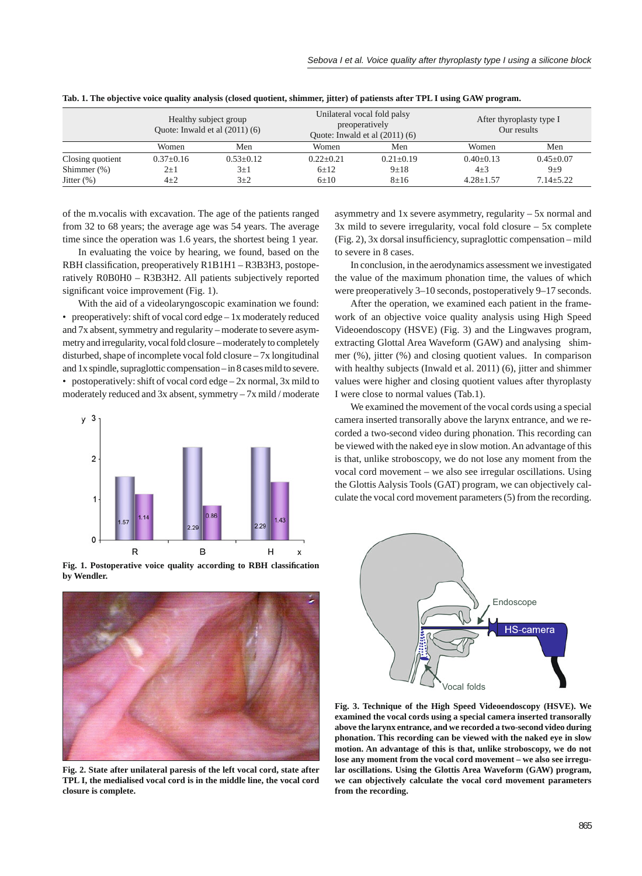|                  | Healthy subject group<br>Quote: Inwald et al $(2011)(6)$ |             | Unilateral vocal fold palsy<br>preoperatively<br>Ouote: Inwald et al $(2011)$ (6) |               | After thyroplasty type I<br>Our results |                 |
|------------------|----------------------------------------------------------|-------------|-----------------------------------------------------------------------------------|---------------|-----------------------------------------|-----------------|
|                  | Women                                                    | Men         | Women                                                                             | Men           | Women                                   | Men             |
| Closing quotient | $0.37+0.16$                                              | $0.53+0.12$ | $0.22 + 0.21$                                                                     | $0.21 + 0.19$ | $0.40 + 0.13$                           | $0.45 \pm 0.07$ |
| Shimmer $(\%)$   | $2\pm1$                                                  | $3\pm1$     | $6 \pm 12$                                                                        | $9+18$        | $4\pm3$                                 | $9\pm9$         |
| Jitter $(\%)$    | $4\pm 2$                                                 | $3+2$       | $6+10$                                                                            | $8 + 16$      | $4.28 + 1.57$                           | $7.14 \pm 5.22$ |

**Tab. 1. The objective voice quality analysis (closed quotient, shimmer, jitter) of patiensts after TPL I using GAW program.**

of the m.vocalis with excavation. The age of the patients ranged from 32 to 68 years; the average age was 54 years. The average time since the operation was 1.6 years, the shortest being 1 year.

In evaluating the voice by hearing, we found, based on the RBH classification, preoperatively R1B1H1 – R3B3H3, postoperatively R0B0H0 – R3B3H2. All patients subjectively reported significant voice improvement (Fig. 1).

With the aid of a videolaryngoscopic examination we found: • preoperatively: shift of vocal cord edge – 1x moderately reduced and 7x absent, symmetry and regularity – moderate to severe asymmetry and irregularity, vocal fold closure – moderately to completely disturbed, shape of incomplete vocal fold closure – 7x longitudinal and 1x spindle, supraglottic compensation – in 8 cases mild to severe. • postoperatively: shift of vocal cord edge – 2x normal, 3x mild to moderately reduced and 3x absent, symmetry – 7x mild / moderate



Fig. 1. Postoperative voice quality according to RBH classification **by Wendler.**



**Fig. 2. State after unilateral paresis of the left vocal cord, state after TPL I, the medialised vocal cord is in the middle line, the vocal cord closure is complete.**

asymmetry and 1x severe asymmetry, regularity – 5x normal and 3x mild to severe irregularity, vocal fold closure – 5x complete  $(Fig. 2)$ , 3x dorsal insufficiency, supraglottic compensation – mild to severe in 8 cases.

In conclusion, in the aerodynamics assessment we investigated the value of the maximum phonation time, the values of which were preoperatively 3–10 seconds, postoperatively 9–17 seconds.

After the operation, we examined each patient in the framework of an objective voice quality analysis using High Speed Videoendoscopy (HSVE) (Fig. 3) and the Lingwaves program, extracting Glottal Area Waveform (GAW) and analysing shimmer (%), jitter (%) and closing quotient values. In comparison with healthy subjects (Inwald et al. 2011) (6), jitter and shimmer values were higher and closing quotient values after thyroplasty I were close to normal values (Tab.1).

We examined the movement of the vocal cords using a special camera inserted transorally above the larynx entrance, and we recorded a two-second video during phonation. This recording can be viewed with the naked eye in slow motion. An advantage of this is that, unlike stroboscopy, we do not lose any moment from the vocal cord movement – we also see irregular oscillations. Using the Glottis Aalysis Tools (GAT) program, we can objectively calculate the vocal cord movement parameters (5) from the recording.



**Fig. 3. Technique of the High Speed Videoendoscopy (HSVE). We examined the vocal cords using a special camera inserted transorally above the larynx entrance, and we recorded a two-second video during phonation. This recording can be viewed with the naked eye in slow motion. An advantage of this is that, unlike stroboscopy, we do not lose any moment from the vocal cord movement – we also see irregular oscillations. Using the Glottis Area Waveform (GAW) program, we can objectively calculate the vocal cord movement parameters from the recording.**